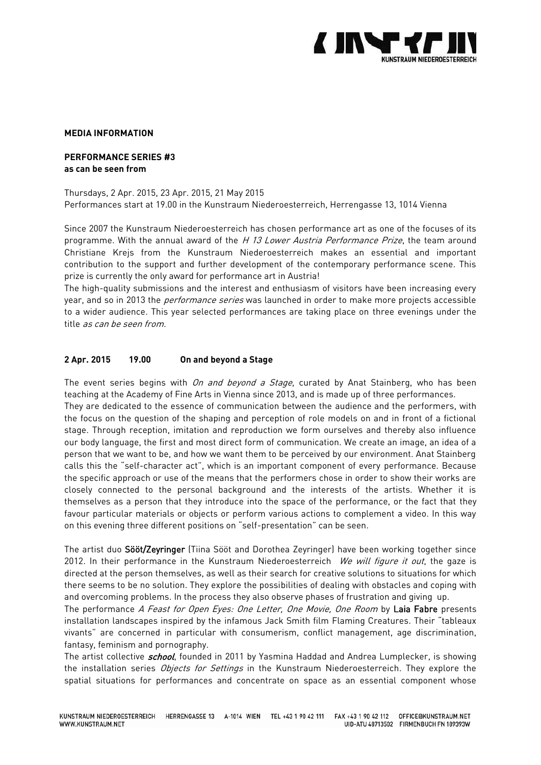

## **MEDIA INFORMATION**

# **PERFORMANCE SERIES #3 as can be seen from**

# Thursdays, 2 Apr. 2015, 23 Apr. 2015, 21 May 2015

Performances start at 19.00 in the Kunstraum Niederoesterreich, Herrengasse 13, 1014 Vienna

Since 2007 the Kunstraum Niederoesterreich has chosen performance art as one of the focuses of its programme. With the annual award of the H 13 Lower Austria Performance Prize, the team around Christiane Krejs from the Kunstraum Niederoesterreich makes an essential and important contribution to the support and further development of the contemporary performance scene. This prize is currently the only award for performance art in Austria!

The high-quality submissions and the interest and enthusiasm of visitors have been increasing every year, and so in 2013 the *performance series* was launched in order to make more projects accessible to a wider audience. This year selected performances are taking place on three evenings under the title as can be seen from.

## **2 Apr. 2015 19.00 On and beyond a Stage**

The event series begins with On and beyond a Stage, curated by Anat Stainberg, who has been teaching at the Academy of Fine Arts in Vienna since 2013, and is made up of three performances. They are dedicated to the essence of communication between the audience and the performers, with the focus on the question of the shaping and perception of role models on and in front of a fictional stage. Through reception, imitation and reproduction we form ourselves and thereby also influence our body language, the first and most direct form of communication. We create an image, an idea of a person that we want to be, and how we want them to be perceived by our environment. Anat Stainberg calls this the "self-character act", which is an important component of every performance. Because the specific approach or use of the means that the performers chose in order to show their works are closely connected to the personal background and the interests of the artists. Whether it is themselves as a person that they introduce into the space of the performance, or the fact that they favour particular materials or objects or perform various actions to complement a video. In this way on this evening three different positions on "self-presentation" can be seen.

The artist duo Sööt/Zeyringer (Tiina Sööt and Dorothea Zeyringer) have been working together since 2012. In their performance in the Kunstraum Niederoesterreich We will figure it out, the gaze is directed at the person themselves, as well as their search for creative solutions to situations for which there seems to be no solution. They explore the possibilities of dealing with obstacles and coping with and overcoming problems. In the process they also observe phases of frustration and giving up.

The performance A Feast for Open Eyes: One Letter, One Movie, One Room by Laia Fabre presents installation landscapes inspired by the infamous Jack Smith film Flaming Creatures. Their "tableaux vivants" are concerned in particular with consumerism, conflict management, age discrimination, fantasy, feminism and pornography.

The artist collective *school*, founded in 2011 by Yasmina Haddad and Andrea Lumplecker, is showing the installation series Objects for Settings in the Kunstraum Niederoesterreich. They explore the spatial situations for performances and concentrate on space as an essential component whose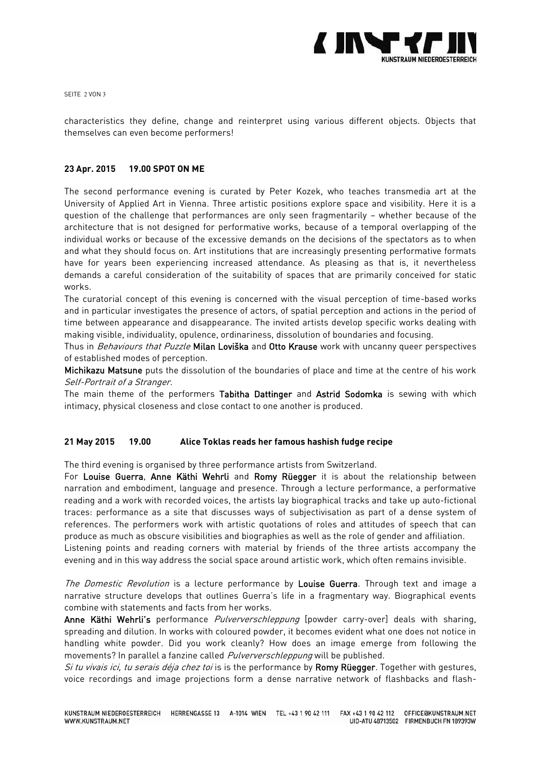

SEITE 2 VON 3

characteristics they define, change and reinterpret using various different objects. Objects that themselves can even become performers!

# **23 Apr. 2015 19.00 SPOT ON ME**

The second performance evening is curated by Peter Kozek, who teaches transmedia art at the University of Applied Art in Vienna. Three artistic positions explore space and visibility. Here it is a question of the challenge that performances are only seen fragmentarily – whether because of the architecture that is not designed for performative works, because of a temporal overlapping of the individual works or because of the excessive demands on the decisions of the spectators as to when and what they should focus on. Art institutions that are increasingly presenting performative formats have for years been experiencing increased attendance. As pleasing as that is, it nevertheless demands a careful consideration of the suitability of spaces that are primarily conceived for static works.

The curatorial concept of this evening is concerned with the visual perception of time-based works and in particular investigates the presence of actors, of spatial perception and actions in the period of time between appearance and disappearance. The invited artists develop specific works dealing with making visible, individuality, opulence, ordinariness, dissolution of boundaries and focusing.

Thus in Behaviours that Puzzle Milan Loviška and Otto Krause work with uncanny queer perspectives of established modes of perception.

Michikazu Matsune puts the dissolution of the boundaries of place and time at the centre of his work Self-Portrait of a Stranger.

The main theme of the performers Tabitha Dattinger and Astrid Sodomka is sewing with which intimacy, physical closeness and close contact to one another is produced.

## **21 May 2015 19.00 Alice Toklas reads her famous hashish fudge recipe**

The third evening is organised by three performance artists from Switzerland.

For Louise Guerra, Anne Käthi Wehrli and Romy Rüegger it is about the relationship between narration and embodiment, language and presence. Through a lecture performance, a performative reading and a work with recorded voices, the artists lay biographical tracks and take up auto-fictional traces: performance as a site that discusses ways of subjectivisation as part of a dense system of references. The performers work with artistic quotations of roles and attitudes of speech that can produce as much as obscure visibilities and biographies as well as the role of gender and affiliation.

Listening points and reading corners with material by friends of the three artists accompany the evening and in this way address the social space around artistic work, which often remains invisible.

The Domestic Revolution is a lecture performance by Louise Guerra. Through text and image a narrative structure develops that outlines Guerra's life in a fragmentary way. Biographical events combine with statements and facts from her works.

Anne Käthi Wehrli's performance *Pulververschleppung* [powder carry-over] deals with sharing, spreading and dilution. In works with coloured powder, it becomes evident what one does not notice in handling white powder. Did you work cleanly? How does an image emerge from following the movements? In parallel a fanzine called *Pulververschleppung* will be published.

Si tu vivais ici, tu serais déja chez toi is is the performance by Romy Rüegger. Together with gestures, voice recordings and image projections form a dense narrative network of flashbacks and flash-